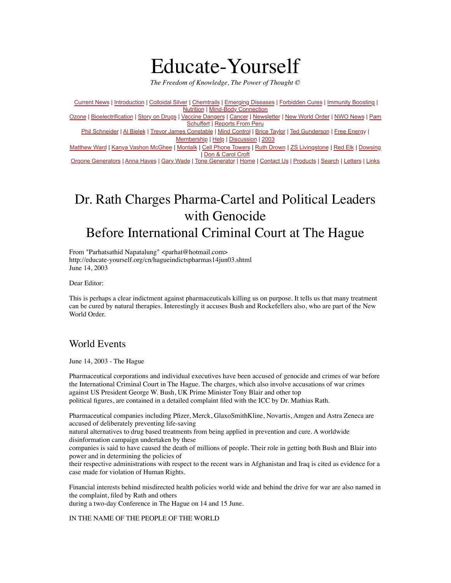# Educate-Yourself

*The Freedom of Knowledge, The Power of Thought ©*

[Current News](http://educate-yourself.org/cn/) | [Introduction](http://educate-yourself.org/intro.shtml) | [Colloidal Silver](http://educate-yourself.org/cs/) | [Chemtrails](http://educate-yourself.org/ct/) | [Emerging Diseases](http://educate-yourself.org/ed/) | [Forbidden Cures](http://educate-yourself.org/fc/) | [Immunity Boosting](http://educate-yourself.org/immunboosting/) | [Nutrition](http://educate-yourself.org/nutrition/) | [Mind-Body Connection](http://educate-yourself.org/mbc/) [Ozone](http://educate-yourself.org/ozone/) | [Bioelectrification](http://educate-yourself.org/be/) | [Story on Drugs](http://educate-yourself.org/fc/drugstory.shtml) | [Vaccine Dangers](http://educate-yourself.org/vcd/) | [Cancer](http://educate-yourself.org/cancer/) | [Newsletter](http://educate-yourself.org/newsletter/) | [New World Order](http://educate-yourself.org/nwo/) | [NWO News](http://educate-yourself.org/nwo/nwonewsindex.shtml) | [Pam](http://educate-yourself.org/ps/)  [Schuffert](http://educate-yourself.org/ps/) | [Reports From Peru](http://educate-yourself.org/rfp/) [Phil Schneider](http://educate-yourself.org/products/pslastlecturedescrip.shtml) | [Al Bielek](http://educate-yourself.org/ab/) | [Trevor James Constable](http://educate-yourself.org/tjc/) | [Mind Control](http://educate-yourself.org/mc/) | [Brice Taylor](http://educate-yourself.org/mc/) | [Ted Gunderson](http://educate-yourself.org/tg/) | [Free Energy](http://educate-yourself.org/fe/) | [Membership](http://educate-yourself.org/membership.shtml) | [Help](http://educate-yourself.org/help.shtml) | [Discussion](http://groups.yahoo.com/group/Educate-Yourself_Forum/) | [2003](http://educate-yourself.org/2003/) [Matthew Ward](http://educate-yourself.org/mw/index.shtml) | [Kanya Vashon McGhee](http://educate-yourself.org/kvm/index.shtml) | [Montalk](http://educate-yourself.org/mnt/index.shtml) | [Cell Phone Towers](http://educate-yourself.org/dc/dclatestonmctowerarrays25may02.shtml) | [Ruth Drown](http://educate-yourself.org/tjc/ruthdrownuntoldstory.shtml) | [ZS Livingstone](http://educate-yourself.org/zsl/index.shtml) | [Red Elk](http://educate-yourself.org/re/index.shtml) | [Dowsing](http://educate-yourself.org/dow/index.shtml) | [Don & Carol Croft](http://educate-yourself.org/dc/) [Orgone Generators](http://educate-yourself.org/dc/orgonegenindex.shtml) | [Anna Hayes](http://educate-yourself.org/ah/) | [Gary Wade](http://educate-yourself.org/gw/) | [Tone Generator](http://educate-yourself.org/nch/) | [Home](http://educate-yourself.org/) | [Contact Us](http://educate-yourself.org/contactus/) | [Products](http://educate-yourself.org/products/) | [Search](http://educate-yourself.org/search/) | [Letters](http://educate-yourself.org/lte/) | [Links](http://educate-yourself.org/links.shtml)

## Dr. Rath Charges Pharma-Cartel and Political Leaders with Genocide Before International Criminal Court at The Hague

From "Parhatsathid Napatalung" <parhat@hotmail.com> http://educate-yourself.org/cn/hagueindictspharmas14jun03.shtml June 14, 2003

Dear Editor:

This is perhaps a clear indictment against pharmaceuticals killing us on purpose. It tells us that many treatment can be cured by natural therapies. Interestingly it accuses Bush and Rockefellers also, who are part of the New World Order.

## World Events

June 14, 2003 - The Hague

Pharmaceutical corporations and individual executives have been accused of genocide and crimes of war before the International Criminal Court in The Hague. The charges, which also involve accusations of war crimes against US President George W. Bush, UK Prime Minister Tony Blair and other top political figures, are contained in a detailed complaint filed with the ICC by Dr. Mathias Rath.

Pharmaceutical companies including Pfizer, Merck, GlaxoSmithKline, Novartis, Amgen and Astra Zeneca are accused of deliberately preventing life-saving

natural alternatives to drug based treatments from being applied in prevention and cure. A worldwide disinformation campaign undertaken by these

companies is said to have caused the death of millions of people. Their role in getting both Bush and Blair into power and in determining the policies of

their respective administrations with respect to the recent wars in Afghanistan and Iraq is cited as evidence for a case made for violation of Human Rights.

Financial interests behind misdirected health policies world wide and behind the drive for war are also named in the complaint, filed by Rath and others

during a two-day Conference in The Hague on 14 and 15 June.

IN THE NAME OF THE PEOPLE OF THE WORLD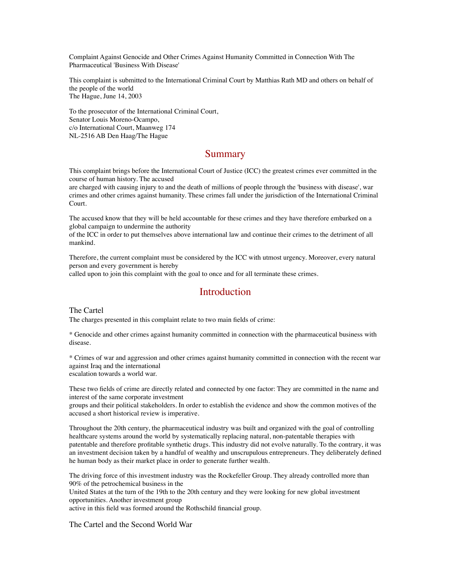Complaint Against Genocide and Other Crimes Against Humanity Committed in Connection With The Pharmaceutical 'Business With Disease'

This complaint is submitted to the International Criminal Court by Matthias Rath MD and others on behalf of the people of the world The Hague, June 14, 2003

To the prosecutor of the International Criminal Court, Senator Louis Moreno-Ocampo, c/o International Court, Maanweg 174 NL-2516 AB Den Haag/The Hague

## Summary

This complaint brings before the International Court of Justice (ICC) the greatest crimes ever committed in the course of human history. The accused

are charged with causing injury to and the death of millions of people through the 'business with disease', war crimes and other crimes against humanity. These crimes fall under the jurisdiction of the International Criminal Court.

The accused know that they will be held accountable for these crimes and they have therefore embarked on a global campaign to undermine the authority

of the ICC in order to put themselves above international law and continue their crimes to the detriment of all mankind.

Therefore, the current complaint must be considered by the ICC with utmost urgency. Moreover, every natural person and every government is hereby

called upon to join this complaint with the goal to once and for all terminate these crimes.

## Introduction

The Cartel

The charges presented in this complaint relate to two main fields of crime:

\* Genocide and other crimes against humanity committed in connection with the pharmaceutical business with disease.

\* Crimes of war and aggression and other crimes against humanity committed in connection with the recent war against Iraq and the international escalation towards a world war.

These two fields of crime are directly related and connected by one factor: They are committed in the name and interest of the same corporate investment

groups and their political stakeholders. In order to establish the evidence and show the common motives of the accused a short historical review is imperative.

Throughout the 20th century, the pharmaceutical industry was built and organized with the goal of controlling healthcare systems around the world by systematically replacing natural, non-patentable therapies with patentable and therefore profitable synthetic drugs. This industry did not evolve naturally. To the contrary, it was an investment decision taken by a handful of wealthy and unscrupulous entrepreneurs. They deliberately defined he human body as their market place in order to generate further wealth.

The driving force of this investment industry was the Rockefeller Group. They already controlled more than 90% of the petrochemical business in the

United States at the turn of the 19th to the 20th century and they were looking for new global investment opportunities. Another investment group

active in this field was formed around the Rothschild financial group.

The Cartel and the Second World War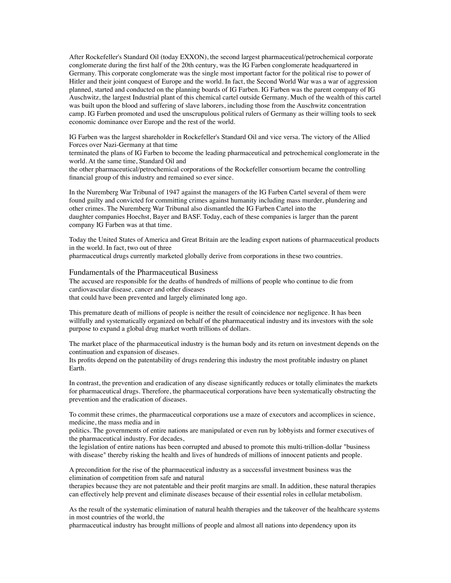After Rockefeller's Standard Oil (today EXXON), the second largest pharmaceutical/petrochemical corporate conglomerate during the first half of the 20th century, was the IG Farben conglomerate headquartered in Germany. This corporate conglomerate was the single most important factor for the political rise to power of Hitler and their joint conquest of Europe and the world. In fact, the Second World War was a war of aggression planned, started and conducted on the planning boards of IG Farben. IG Farben was the parent company of IG Auschwitz, the largest Industrial plant of this chemical cartel outside Germany. Much of the wealth of this cartel was built upon the blood and suffering of slave laborers, including those from the Auschwitz concentration camp. IG Farben promoted and used the unscrupulous political rulers of Germany as their willing tools to seek economic dominance over Europe and the rest of the world.

IG Farben was the largest shareholder in Rockefeller's Standard Oil and vice versa. The victory of the Allied Forces over Nazi-Germany at that time

terminated the plans of IG Farben to become the leading pharmaceutical and petrochemical conglomerate in the world. At the same time, Standard Oil and

the other pharmaceutical/petrochemical corporations of the Rockefeller consortium became the controlling financial group of this industry and remained so ever since.

In the Nuremberg War Tribunal of 1947 against the managers of the IG Farben Cartel several of them were found guilty and convicted for committing crimes against humanity including mass murder, plundering and other crimes. The Nuremberg War Tribunal also dismantled the IG Farben Cartel into the daughter companies Hoechst, Bayer and BASF. Today, each of these companies is larger than the parent company IG Farben was at that time.

Today the United States of America and Great Britain are the leading export nations of pharmaceutical products in the world. In fact, two out of three

pharmaceutical drugs currently marketed globally derive from corporations in these two countries.

#### Fundamentals of the Pharmaceutical Business

The accused are responsible for the deaths of hundreds of millions of people who continue to die from cardiovascular disease, cancer and other diseases that could have been prevented and largely eliminated long ago.

This premature death of millions of people is neither the result of coincidence nor negligence. It has been willfully and systematically organized on behalf of the pharmaceutical industry and its investors with the sole purpose to expand a global drug market worth trillions of dollars.

The market place of the pharmaceutical industry is the human body and its return on investment depends on the continuation and expansion of diseases.

Its profits depend on the patentability of drugs rendering this industry the most profitable industry on planet Earth.

In contrast, the prevention and eradication of any disease significantly reduces or totally eliminates the markets for pharmaceutical drugs. Therefore, the pharmaceutical corporations have been systematically obstructing the prevention and the eradication of diseases.

To commit these crimes, the pharmaceutical corporations use a maze of executors and accomplices in science, medicine, the mass media and in

politics. The governments of entire nations are manipulated or even run by lobbyists and former executives of the pharmaceutical industry. For decades,

the legislation of entire nations has been corrupted and abused to promote this multi-trillion-dollar "business with disease" thereby risking the health and lives of hundreds of millions of innocent patients and people.

A precondition for the rise of the pharmaceutical industry as a successful investment business was the elimination of competition from safe and natural

therapies because they are not patentable and their profit margins are small. In addition, these natural therapies can effectively help prevent and eliminate diseases because of their essential roles in cellular metabolism.

As the result of the systematic elimination of natural health therapies and the takeover of the healthcare systems in most countries of the world, the

pharmaceutical industry has brought millions of people and almost all nations into dependency upon its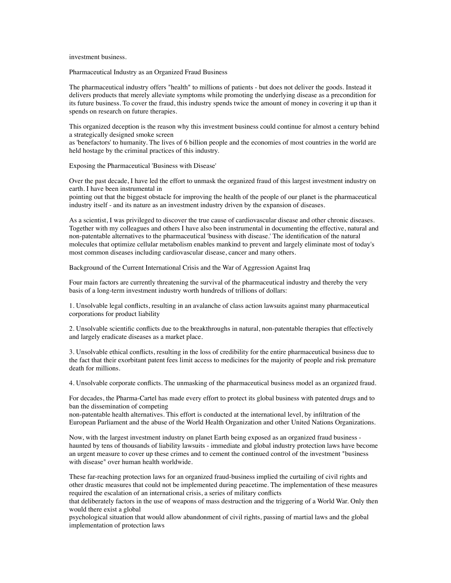investment business.

Pharmaceutical Industry as an Organized Fraud Business

The pharmaceutical industry offers "health" to millions of patients - but does not deliver the goods. Instead it delivers products that merely alleviate symptoms while promoting the underlying disease as a precondition for its future business. To cover the fraud, this industry spends twice the amount of money in covering it up than it spends on research on future therapies.

This organized deception is the reason why this investment business could continue for almost a century behind a strategically designed smoke screen

as 'benefactors' to humanity. The lives of 6 billion people and the economies of most countries in the world are held hostage by the criminal practices of this industry.

Exposing the Pharmaceutical 'Business with Disease'

Over the past decade, I have led the effort to unmask the organized fraud of this largest investment industry on earth. I have been instrumental in

pointing out that the biggest obstacle for improving the health of the people of our planet is the pharmaceutical industry itself - and its nature as an investment industry driven by the expansion of diseases.

As a scientist, I was privileged to discover the true cause of cardiovascular disease and other chronic diseases. Together with my colleagues and others I have also been instrumental in documenting the effective, natural and non-patentable alternatives to the pharmaceutical 'business with disease.' The identification of the natural molecules that optimize cellular metabolism enables mankind to prevent and largely eliminate most of today's most common diseases including cardiovascular disease, cancer and many others.

Background of the Current International Crisis and the War of Aggression Against Iraq

Four main factors are currently threatening the survival of the pharmaceutical industry and thereby the very basis of a long-term investment industry worth hundreds of trillions of dollars:

1. Unsolvable legal conflicts, resulting in an avalanche of class action lawsuits against many pharmaceutical corporations for product liability

2. Unsolvable scientific conflicts due to the breakthroughs in natural, non-patentable therapies that effectively and largely eradicate diseases as a market place.

3. Unsolvable ethical conflicts, resulting in the loss of credibility for the entire pharmaceutical business due to the fact that their exorbitant patent fees limit access to medicines for the majority of people and risk premature death for millions.

4. Unsolvable corporate conflicts. The unmasking of the pharmaceutical business model as an organized fraud.

For decades, the Pharma-Cartel has made every effort to protect its global business with patented drugs and to ban the dissemination of competing

non-patentable health alternatives. This effort is conducted at the international level, by infiltration of the European Parliament and the abuse of the World Health Organization and other United Nations Organizations.

Now, with the largest investment industry on planet Earth being exposed as an organized fraud business haunted by tens of thousands of liability lawsuits - immediate and global industry protection laws have become an urgent measure to cover up these crimes and to cement the continued control of the investment "business with disease" over human health worldwide.

These far-reaching protection laws for an organized fraud-business implied the curtailing of civil rights and other drastic measures that could not be implemented during peacetime. The implementation of these measures required the escalation of an international crisis, a series of military conflicts

that deliberately factors in the use of weapons of mass destruction and the triggering of a World War. Only then would there exist a global

psychological situation that would allow abandonment of civil rights, passing of martial laws and the global implementation of protection laws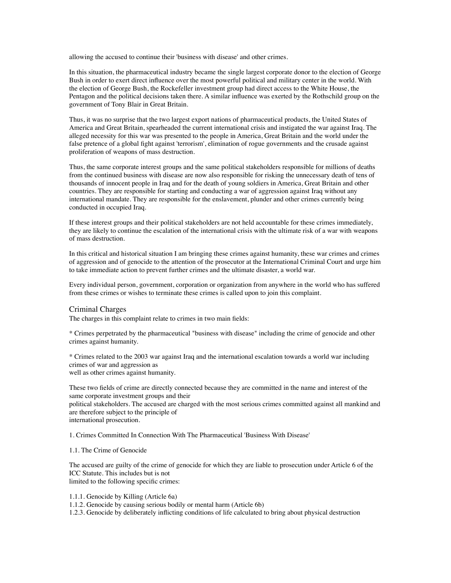allowing the accused to continue their 'business with disease' and other crimes.

In this situation, the pharmaceutical industry became the single largest corporate donor to the election of George Bush in order to exert direct influence over the most powerful political and military center in the world. With the election of George Bush, the Rockefeller investment group had direct access to the White House, the Pentagon and the political decisions taken there. A similar influence was exerted by the Rothschild group on the government of Tony Blair in Great Britain.

Thus, it was no surprise that the two largest export nations of pharmaceutical products, the United States of America and Great Britain, spearheaded the current international crisis and instigated the war against Iraq. The alleged necessity for this war was presented to the people in America, Great Britain and the world under the false pretence of a global fight against 'terrorism', elimination of rogue governments and the crusade against proliferation of weapons of mass destruction.

Thus, the same corporate interest groups and the same political stakeholders responsible for millions of deaths from the continued business with disease are now also responsible for risking the unnecessary death of tens of thousands of innocent people in Iraq and for the death of young soldiers in America, Great Britain and other countries. They are responsible for starting and conducting a war of aggression against Iraq without any international mandate. They are responsible for the enslavement, plunder and other crimes currently being conducted in occupied Iraq.

If these interest groups and their political stakeholders are not held accountable for these crimes immediately, they are likely to continue the escalation of the international crisis with the ultimate risk of a war with weapons of mass destruction.

In this critical and historical situation I am bringing these crimes against humanity, these war crimes and crimes of aggression and of genocide to the attention of the prosecutor at the International Criminal Court and urge him to take immediate action to prevent further crimes and the ultimate disaster, a world war.

Every individual person, government, corporation or organization from anywhere in the world who has suffered from these crimes or wishes to terminate these crimes is called upon to join this complaint.

#### Criminal Charges

The charges in this complaint relate to crimes in two main fields:

\* Crimes perpetrated by the pharmaceutical "business with disease" including the crime of genocide and other crimes against humanity.

\* Crimes related to the 2003 war against Iraq and the international escalation towards a world war including crimes of war and aggression as well as other crimes against humanity.

These two fields of crime are directly connected because they are committed in the name and interest of the same corporate investment groups and their

political stakeholders. The accused are charged with the most serious crimes committed against all mankind and are therefore subject to the principle of

international prosecution.

1. Crimes Committed In Connection With The Pharmaceutical 'Business With Disease'

#### 1.1. The Crime of Genocide

The accused are guilty of the crime of genocide for which they are liable to prosecution under Article 6 of the ICC Statute. This includes but is not limited to the following specific crimes:

1.1.1. Genocide by Killing (Article 6a)

1.1.2. Genocide by causing serious bodily or mental harm (Article 6b)

1.2.3. Genocide by deliberately inflicting conditions of life calculated to bring about physical destruction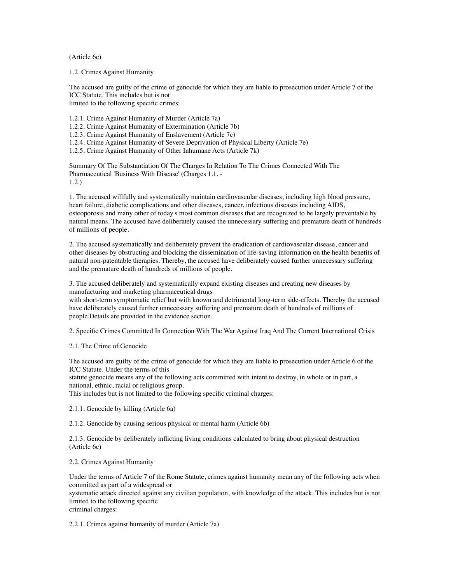(Article 6c)

1.2. Crimes Against Humanity

The accused are guilty of the crime of genocide for which they are liable to prosecution under Article 7 of the ICC Statute. This includes but is not limited to the following specific crimes:

1.2.1. Crime Against Humanity of Murder (Article 7a)

1.2.2. Crime Against Humanity of Extermination (Article 7b)

1.2.3. Crime Against Humanity of Enslavement (Article 7c)

1.2.4. Crime Against Humanity of Severe Deprivation of Physical Liberty (Article 7e)

1.2.5. Crime Against Humanity of Other Inhumane Acts (Article 7k)

Summary Of The Substantiation Of The Charges In Relation To The Crimes Connected With The Pharmaceutical 'Business With Disease' (Charges 1.1. - 1.2.)

1. The accused willfully and systematically maintain cardiovascular diseases, including high blood pressure, heart failure, diabetic complications and other diseases, cancer, infectious diseases including AIDS, osteoporosis and many other of today's most common diseases that are recognized to be largely preventable by natural means. The accused have deliberately caused the unnecessary suffering and premature death of hundreds of millions of people.

2. The accused systematically and deliberately prevent the eradication of cardiovascular disease, cancer and other diseases by obstructing and blocking the dissemination of life-saving information on the health benefits of natural non-patentable therapies. Thereby, the accused have deliberately caused further unnecessary suffering and the premature death of hundreds of millions of people.

3. The accused deliberately and systematically expand existing diseases and creating new diseases by manufacturing and marketing pharmaceutical drugs

with short-term symptomatic relief but with known and detrimental long-term side-effects. Thereby the accused have deliberately caused further unnecessary suffering and premature death of hundreds of millions of people.Details are provided in the evidence section.

2. Specific Crimes Committed In Connection With The War Against Iraq And The Current International Crisis

2.1. The Crime of Genocide

The accused are guilty of the crime of genocide for which they are liable to prosecution under Article 6 of the ICC Statute. Under the terms of this

statute genocide means any of the following acts committed with intent to destroy, in whole or in part, a national, ethnic, racial or religious group.

This includes but is not limited to the following specific criminal charges:

2.1.1. Genocide by killing (Article 6a)

2.1.2. Genocide by causing serious physical or mental harm (Article 6b)

2.1.3. Genocide by deliberately inflicting living conditions calculated to bring about physical destruction (Article 6c)

2.2. Crimes Against Humanity

Under the terms of Article 7 of the Rome Statute, crimes against humanity mean any of the following acts when committed as part of a widespread or

systematic attack directed against any civilian population, with knowledge of the attack. This includes but is not limited to the following specific

criminal charges:

2.2.1. Crimes against humanity of murder (Article 7a)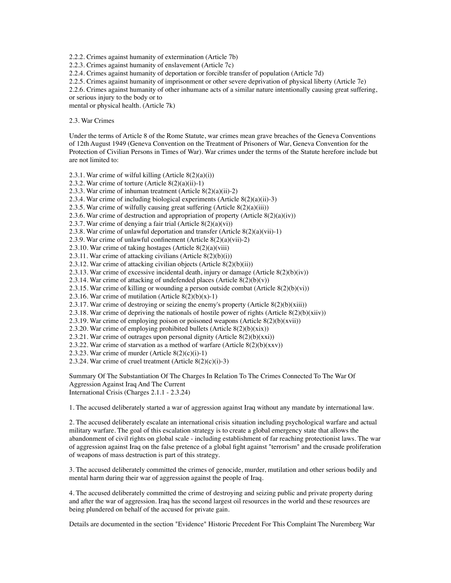2.2.2. Crimes against humanity of extermination (Article 7b)

2.2.3. Crimes against humanity of enslavement (Article 7c)

2.2.4. Crimes against humanity of deportation or forcible transfer of population (Article 7d)

2.2.5. Crimes against humanity of imprisonment or other severe deprivation of physical liberty (Article 7e)

2.2.6. Crimes against humanity of other inhumane acts of a similar nature intentionally causing great suffering,

or serious injury to the body or to mental or physical health. (Article 7k)

2.3. War Crimes

Under the terms of Article 8 of the Rome Statute, war crimes mean grave breaches of the Geneva Conventions of 12th August 1949 (Geneva Convention on the Treatment of Prisoners of War, Geneva Convention for the Protection of Civilian Persons in Times of War). War crimes under the terms of the Statute herefore include but are not limited to:

2.3.1. War crime of wilful killing (Article 8(2)(a)(i))

- 2.3.2. War crime of torture (Article 8(2)(a)(ii)-1)
- 2.3.3. War crime of inhuman treatment (Article 8(2)(a)(ii)-2)
- 2.3.4. War crime of including biological experiments (Article 8(2)(a)(ii)-3)
- 2.3.5. War crime of wilfully causing great suffering  $(A$ rticle  $8(2)(a)(iii)$ )
- 2.3.6. War crime of destruction and appropriation of property (Article  $8(2)(a)(iv)$ )
- 2.3.7. War crime of denying a fair trial (Article 8(2)(a)(vi))
- 2.3.8. War crime of unlawful deportation and transfer (Article  $8(2)(a)(vi)$ -1)
- 2.3.9. War crime of unlawful confinement (Article 8(2)(a)(vii)-2)
- 2.3.10. War crime of taking hostages (Article 8(2)(a)(viii)
- 2.3.11. War crime of attacking civilians (Article  $8(2)(b)(i)$ )
- 2.3.12. War crime of attacking civilian objects (Article 8(2)(b)(ii))
- 2.3.13. War crime of excessive incidental death, injury or damage (Article 8(2)(b)(iv))
- 2.3.14. War crime of attacking of undefended places (Article  $8(2)(b)(v)$ )
- 2.3.15. War crime of killing or wounding a person outside combat (Article  $8(2)(b)(vi)$ )
- 2.3.16. War crime of mutilation (Article  $8(2)(b)(x)-1$ )
- 2.3.17. War crime of destroying or seizing the enemy's property (Article  $8(2)(b)(xiii)$ )
- 2.3.18. War crime of depriving the nationals of hostile power of rights (Article  $8(2)(b)(xiv)$ )
- 2.3.19. War crime of employing poison or poisoned weapons (Article 8(2)(b)(xvii))
- 2.3.20. War crime of employing prohibited bullets (Article  $8(2)(b)(xix)$ )
- 2.3.21. War crime of outrages upon personal dignity (Article  $8(2)(b)(xxi)$ )
- 2.3.22. War crime of starvation as a method of warfare (Article  $8(2)(b)(xxv)$ )
- 2.3.23. War crime of murder (Article  $8(2)(c)(i)-1)$ )
- 2.3.24. War crime of cruel treatment (Article 8(2)(c)(i)-3)

Summary Of The Substantiation Of The Charges In Relation To The Crimes Connected To The War Of Aggression Against Iraq And The Current International Crisis (Charges 2.1.1 - 2.3.24)

1. The accused deliberately started a war of aggression against Iraq without any mandate by international law.

2. The accused deliberately escalate an international crisis situation including psychological warfare and actual military warfare. The goal of this escalation strategy is to create a global emergency state that allows the abandonment of civil rights on global scale - including establishment of far reaching protectionist laws. The war of aggression against Iraq on the false pretence of a global fight against "terrorism" and the crusade proliferation of weapons of mass destruction is part of this strategy.

3. The accused deliberately committed the crimes of genocide, murder, mutilation and other serious bodily and mental harm during their war of aggression against the people of Iraq.

4. The accused deliberately committed the crime of destroying and seizing public and private property during and after the war of aggression. Iraq has the second largest oil resources in the world and these resources are being plundered on behalf of the accused for private gain.

Details are documented in the section "Evidence" Historic Precedent For This Complaint The Nuremberg War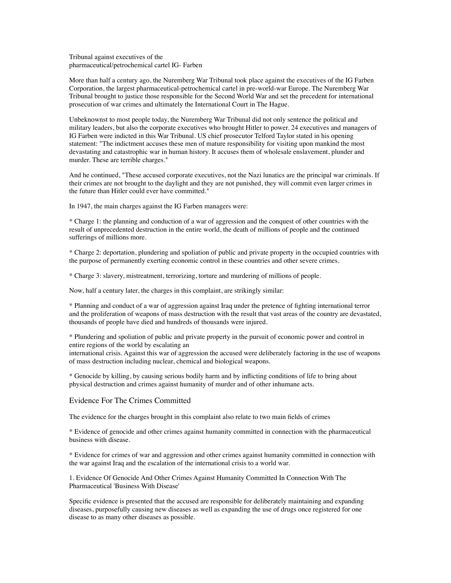Tribunal against executives of the pharmaceutical/petrochemical cartel IG- Farben

More than half a century ago, the Nuremberg War Tribunal took place against the executives of the IG Farben Corporation, the largest pharmaceutical-petrochemical cartel in pre-world-war Europe. The Nuremberg War Tribunal brought to justice those responsible for the Second World War and set the precedent for international prosecution of war crimes and ultimately the International Court in The Hague.

Unbeknownst to most people today, the Nuremberg War Tribunal did not only sentence the political and military leaders, but also the corporate executives who brought Hitler to power. 24 executives and managers of IG Farben were indicted in this War Tribunal. US chief prosecutor Telford Taylor stated in his opening statement: "The indictment accuses these men of mature responsibility for visiting upon mankind the most devastating and catastrophic war in human history. It accuses them of wholesale enslavement, plunder and murder. These are terrible charges."

And he continued, "These accused corporate executives, not the Nazi lunatics are the principal war criminals. If their crimes are not brought to the daylight and they are not punished, they will commit even larger crimes in the future than Hitler could ever have committed."

In 1947, the main charges against the IG Farben managers were:

\* Charge 1: the planning and conduction of a war of aggression and the conquest of other countries with the result of unprecedented destruction in the entire world, the death of millions of people and the continued sufferings of millions more.

\* Charge 2: deportation, plundering and spoliation of public and private property in the occupied countries with the purpose of permanently exerting economic control in these countries and other severe crimes.

\* Charge 3: slavery, mistreatment, terrorizing, torture and murdering of millions of people.

Now, half a century later, the charges in this complaint, are strikingly similar:

\* Planning and conduct of a war of aggression against Iraq under the pretence of fighting international terror and the proliferation of weapons of mass destruction with the result that vast areas of the country are devastated, thousands of people have died and hundreds of thousands were injured.

\* Plundering and spoliation of public and private property in the pursuit of economic power and control in entire regions of the world by escalating an

international crisis. Against this war of aggression the accused were deliberately factoring in the use of weapons of mass destruction including nuclear, chemical and biological weapons.

\* Genocide by killing, by causing serious bodily harm and by inflicting conditions of life to bring about physical destruction and crimes against humanity of murder and of other inhumane acts.

#### Evidence For The Crimes Committed

The evidence for the charges brought in this complaint also relate to two main fields of crimes

\* Evidence of genocide and other crimes against humanity committed in connection with the pharmaceutical business with disease.

\* Evidence for crimes of war and aggression and other crimes against humanity committed in connection with the war against Iraq and the escalation of the international crisis to a world war.

1. Evidence Of Genocide And Other Crimes Against Humanity Committed In Connection With The Pharmaceutical 'Business With Disease'

Specific evidence is presented that the accused are responsible for deliberately maintaining and expanding diseases, purposefully causing new diseases as well as expanding the use of drugs once registered for one disease to as many other diseases as possible.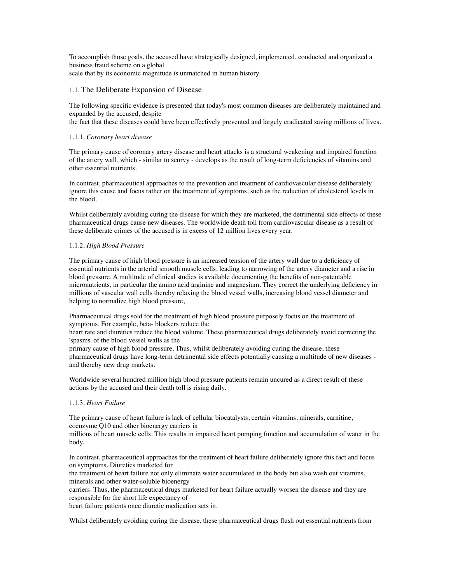To accomplish those goals, the accused have strategically designed, implemented, conducted and organized a business fraud scheme on a global scale that by its economic magnitude is unmatched in human history.

#### 1.1. The Deliberate Expansion of Disease

The following specific evidence is presented that today's most common diseases are deliberately maintained and expanded by the accused, despite

the fact that these diseases could have been effectively prevented and largely eradicated saving millions of lives.

#### 1.1.1. *Coronary heart disease*

The primary cause of coronary artery disease and heart attacks is a structural weakening and impaired function of the artery wall, which - similar to scurvy - develops as the result of long-term deficiencies of vitamins and other essential nutrients.

In contrast, pharmaceutical approaches to the prevention and treatment of cardiovascular disease deliberately ignore this cause and focus rather on the treatment of symptoms, such as the reduction of cholesterol levels in the blood.

Whilst deliberately avoiding curing the disease for which they are marketed, the detrimental side effects of these pharmaceutical drugs cause new diseases. The worldwide death toll from cardiovascular disease as a result of these deliberate crimes of the accused is in excess of 12 million lives every year.

#### 1.1.2. *High Blood Pressure*

The primary cause of high blood pressure is an increased tension of the artery wall due to a deficiency of essential nutrients in the arterial smooth muscle cells, leading to narrowing of the artery diameter and a rise in blood pressure. A multitude of clinical studies is available documenting the benefits of non-patentable micronutrients, in particular the amino acid arginine and magnesium. They correct the underlying deficiency in millions of vascular wall cells thereby relaxing the blood vessel walls, increasing blood vessel diameter and helping to normalize high blood pressure,

Pharmaceutical drugs sold for the treatment of high blood pressure purposely focus on the treatment of symptoms. For example, beta- blockers reduce the

heart rate and diuretics reduce the blood volume. These pharmaceutical drugs deliberately avoid correcting the 'spasms' of the blood vessel walls as the

primary cause of high blood pressure. Thus, whilst deliberately avoiding curing the disease, these pharmaceutical drugs have long-term detrimental side effects potentially causing a multitude of new diseases and thereby new drug markets.

Worldwide several hundred million high blood pressure patients remain uncured as a direct result of these actions by the accused and their death toll is rising daily.

#### 1.1.3. *Heart Failure*

The primary cause of heart failure is lack of cellular biocatalysts, certain vitamins, minerals, carnitine, coenzyme Q10 and other bioenergy carriers in

millions of heart muscle cells. This results in impaired heart pumping function and accumulation of water in the body.

In contrast, pharmaceutical approaches for the treatment of heart failure deliberately ignore this fact and focus on symptoms. Diuretics marketed for

the treatment of heart failure not only eliminate water accumulated in the body but also wash out vitamins, minerals and other water-soluble bioenergy

carriers. Thus, the pharmaceutical drugs marketed for heart failure actually worsen the disease and they are responsible for the short life expectancy of

heart failure patients once diuretic medication sets in.

Whilst deliberately avoiding curing the disease, these pharmaceutical drugs flush out essential nutrients from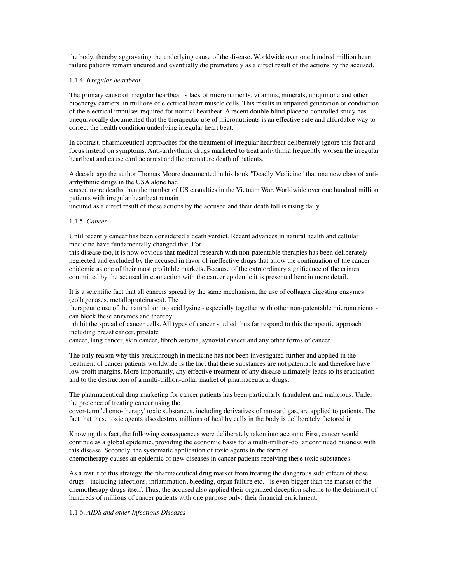the body, thereby aggravating the underlying cause of the disease. Worldwide over one hundred million heart failure patients remain uncured and eventually die prematurely as a direct result of the actions by the accused.

#### 1.1.4. *Irregular heartbeat*

The primary cause of irregular heartbeat is lack of micronutrients, vitamins, minerals, ubiquinone and other bioenergy carriers, in millions of electrical heart muscle cells. This results in impaired generation or conduction of the electrical impulses required for normal heartbeat. A recent double blind placebo-controlled study has unequivocally documented that the therapeutic use of micronutrients is an effective safe and affordable way to correct the health condition underlying irregular heart beat.

In contrast, pharmaceutical approaches for the treatment of irregular heartbeat deliberately ignore this fact and focus instead on symptoms. Anti-arrhythmic drugs marketed to treat arrhythmia frequently worsen the irregular heartbeat and cause cardiac arrest and the premature death of patients.

A decade ago the author Thomas Moore documented in his book "Deadly Medicine" that one new class of antiarrhythmic drugs in the USA alone had

caused more deaths than the number of US casualties in the Vietnam War. Worldwide over one hundred million patients with irregular heartbeat remain

uncured as a direct result of these actions by the accused and their death toll is rising daily.

#### 1.1.5. *Cancer*

Until recently cancer has been considered a death verdict. Recent advances in natural health and cellular medicine have fundamentally changed that. For

this disease too, it is now obvious that medical research with non-patentable therapies has been deliberately neglected and excluded by the accused in favor of ineffective drugs that allow the continuation of the cancer epidemic as one of their most profitable markets. Because of the extraordinary significance of the crimes committed by the accused in connection with the cancer epidemic it is presented here in more detail.

It is a scientific fact that all cancers spread by the same mechanism, the use of collagen digesting enzymes (collagenases, metalloproteinases). The

therapeutic use of the natural amino acid lysine - especially together with other non-patentable micronutrients can block these enzymes and thereby

inhibit the spread of cancer cells. All types of cancer studied thus far respond to this therapeutic approach including breast cancer, prostate

cancer, lung cancer, skin cancer, fibroblastoma, synovial cancer and any other forms of cancer.

The only reason why this breakthrough in medicine has not been investigated further and applied in the treatment of cancer patients worldwide is the fact that these substances are not patentable and therefore have low profit margins. More importantly, any effective treatment of any disease ultimately leads to its eradication and to the destruction of a multi-trillion-dollar market of pharmaceutical drugs.

The pharmaceutical drug marketing for cancer patients has been particularly fraudulent and malicious. Under the pretence of treating cancer using the

cover-term 'chemo-therapy' toxic substances, including derivatives of mustard gas, are applied to patients. The fact that these toxic agents also destroy millions of healthy cells in the body is deliberately factored in.

Knowing this fact, the following consequences were deliberately taken into account: First, cancer would continue as a global epidemic, providing the economic basis for a multi-trillion-dollar continued business with this disease. Secondly, the systematic application of toxic agents in the form of chemotherapy causes an epidemic of new diseases in cancer patients receiving these toxic substances.

As a result of this strategy, the pharmaceutical drug market from treating the dangerous side effects of these drugs - including infections, inflammation, bleeding, organ failure etc. - is even bigger than the market of the chemotherapy drugs itself. Thus, the accused also applied their organized deception scheme to the detriment of hundreds of millions of cancer patients with one purpose only: their financial enrichment.

#### 1.1.6. *AIDS and other Infectious Diseases*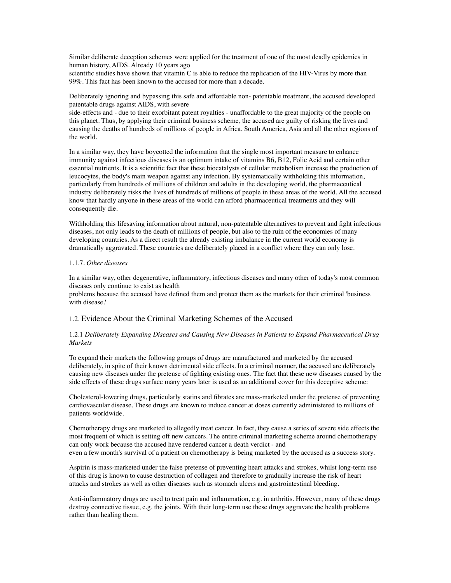Similar deliberate deception schemes were applied for the treatment of one of the most deadly epidemics in human history, AIDS. Already 10 years ago

scientific studies have shown that vitamin C is able to reduce the replication of the HIV-Virus by more than 99%. This fact has been known to the accused for more than a decade.

Deliberately ignoring and bypassing this safe and affordable non- patentable treatment, the accused developed patentable drugs against AIDS, with severe

side-effects and - due to their exorbitant patent royalties - unaffordable to the great majority of the people on this planet. Thus, by applying their criminal business scheme, the accused are guilty of risking the lives and causing the deaths of hundreds of millions of people in Africa, South America, Asia and all the other regions of the world.

In a similar way, they have boycotted the information that the single most important measure to enhance immunity against infectious diseases is an optimum intake of vitamins B6, B12, Folic Acid and certain other essential nutrients. It is a scientific fact that these biocatalysts of cellular metabolism increase the production of leucocytes, the body's main weapon against any infection. By systematically withholding this information, particularly from hundreds of millions of children and adults in the developing world, the pharmaceutical industry deliberately risks the lives of hundreds of millions of people in these areas of the world. All the accused know that hardly anyone in these areas of the world can afford pharmaceutical treatments and they will consequently die.

Withholding this lifesaving information about natural, non-patentable alternatives to prevent and fight infectious diseases, not only leads to the death of millions of people, but also to the ruin of the economies of many developing countries. As a direct result the already existing imbalance in the current world economy is dramatically aggravated. These countries are deliberately placed in a conflict where they can only lose.

#### 1.1.7. *Other diseases*

In a similar way, other degenerative, inflammatory, infectious diseases and many other of today's most common diseases only continue to exist as health

problems because the accused have defined them and protect them as the markets for their criminal 'business with disease.'

#### 1.2. Evidence About the Criminal Marketing Schemes of the Accused

#### 1.2.1 *Deliberately Expanding Diseases and Causing New Diseases in Patients to Expand Pharmaceutical Drug Markets*

To expand their markets the following groups of drugs are manufactured and marketed by the accused deliberately, in spite of their known detrimental side effects. In a criminal manner, the accused are deliberately causing new diseases under the pretense of fighting existing ones. The fact that these new diseases caused by the side effects of these drugs surface many years later is used as an additional cover for this deceptive scheme:

Cholesterol-lowering drugs, particularly statins and fibrates are mass-marketed under the pretense of preventing cardiovascular disease. These drugs are known to induce cancer at doses currently administered to millions of patients worldwide.

Chemotherapy drugs are marketed to allegedly treat cancer. In fact, they cause a series of severe side effects the most frequent of which is setting off new cancers. The entire criminal marketing scheme around chemotherapy can only work because the accused have rendered cancer a death verdict - and even a few month's survival of a patient on chemotherapy is being marketed by the accused as a success story.

Aspirin is mass-marketed under the false pretense of preventing heart attacks and strokes, whilst long-term use of this drug is known to cause destruction of collagen and therefore to gradually increase the risk of heart attacks and strokes as well as other diseases such as stomach ulcers and gastrointestinal bleeding.

Anti-inflammatory drugs are used to treat pain and inflammation, e.g. in arthritis. However, many of these drugs destroy connective tissue, e.g. the joints. With their long-term use these drugs aggravate the health problems rather than healing them.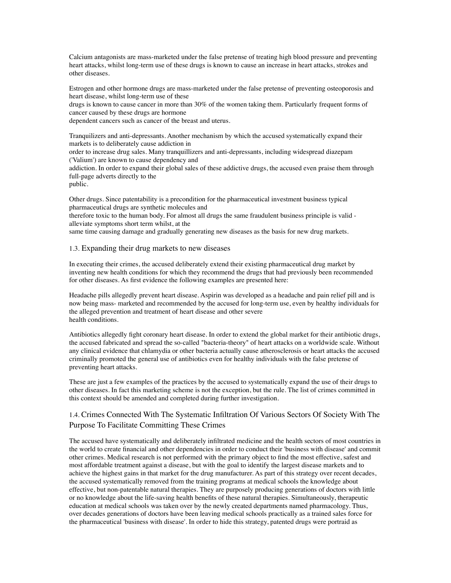Calcium antagonists are mass-marketed under the false pretense of treating high blood pressure and preventing heart attacks, whilst long-term use of these drugs is known to cause an increase in heart attacks, strokes and other diseases.

Estrogen and other hormone drugs are mass-marketed under the false pretense of preventing osteoporosis and heart disease, whilst long-term use of these

drugs is known to cause cancer in more than 30% of the women taking them. Particularly frequent forms of cancer caused by these drugs are hormone

dependent cancers such as cancer of the breast and uterus.

Tranquilizers and anti-depressants. Another mechanism by which the accused systematically expand their markets is to deliberately cause addiction in

order to increase drug sales. Many tranquillizers and anti-depressants, including widespread diazepam ('Valium') are known to cause dependency and

addiction. In order to expand their global sales of these addictive drugs, the accused even praise them through full-page adverts directly to the

public.

Other drugs. Since patentability is a precondition for the pharmaceutical investment business typical pharmaceutical drugs are synthetic molecules and

therefore toxic to the human body. For almost all drugs the same fraudulent business principle is valid alleviate symptoms short term whilst, at the

same time causing damage and gradually generating new diseases as the basis for new drug markets.

#### 1.3. Expanding their drug markets to new diseases

In executing their crimes, the accused deliberately extend their existing pharmaceutical drug market by inventing new health conditions for which they recommend the drugs that had previously been recommended for other diseases. As first evidence the following examples are presented here:

Headache pills allegedly prevent heart disease. Aspirin was developed as a headache and pain relief pill and is now being mass- marketed and recommended by the accused for long-term use, even by healthy individuals for the alleged prevention and treatment of heart disease and other severe health conditions.

Antibiotics allegedly fight coronary heart disease. In order to extend the global market for their antibiotic drugs, the accused fabricated and spread the so-called "bacteria-theory" of heart attacks on a worldwide scale. Without any clinical evidence that chlamydia or other bacteria actually cause atherosclerosis or heart attacks the accused criminally promoted the general use of antibiotics even for healthy individuals with the false pretense of preventing heart attacks.

These are just a few examples of the practices by the accused to systematically expand the use of their drugs to other diseases. In fact this marketing scheme is not the exception, but the rule. The list of crimes committed in this context should be amended and completed during further investigation.

## 1.4. Crimes Connected With The Systematic Infiltration Of Various Sectors Of Society With The Purpose To Facilitate Committing These Crimes

The accused have systematically and deliberately infiltrated medicine and the health sectors of most countries in the world to create financial and other dependencies in order to conduct their 'business with disease' and commit other crimes. Medical research is not performed with the primary object to find the most effective, safest and most affordable treatment against a disease, but with the goal to identify the largest disease markets and to achieve the highest gains in that market for the drug manufacturer. As part of this strategy over recent decades, the accused systematically removed from the training programs at medical schools the knowledge about effective, but non-patentable natural therapies. They are purposely producing generations of doctors with little or no knowledge about the life-saving health benefits of these natural therapies. Simultaneously, therapeutic education at medical schools was taken over by the newly created departments named pharmacology. Thus, over decades generations of doctors have been leaving medical schools practically as a trained sales force for the pharmaceutical 'business with disease'. In order to hide this strategy, patented drugs were portraid as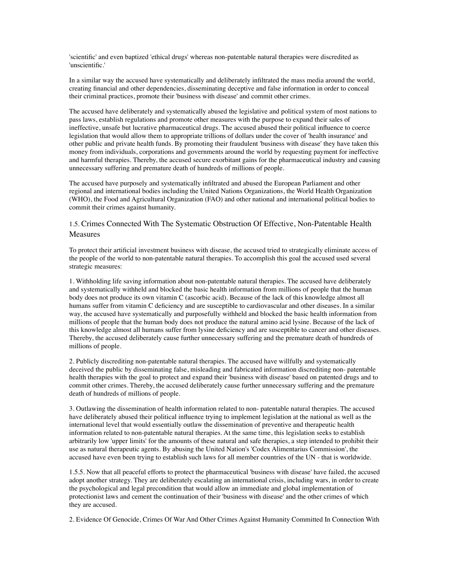'scientific' and even baptized 'ethical drugs' whereas non-patentable natural therapies were discredited as 'unscientific.'

In a similar way the accused have systematically and deliberately infiltrated the mass media around the world, creating financial and other dependencies, disseminating deceptive and false information in order to conceal their criminal practices, promote their 'business with disease' and commit other crimes.

The accused have deliberately and systematically abused the legislative and political system of most nations to pass laws, establish regulations and promote other measures with the purpose to expand their sales of ineffective, unsafe but lucrative pharmaceutical drugs. The accused abused their political influence to coerce legislation that would allow them to appropriate trillions of dollars under the cover of 'health insurance' and other public and private health funds. By promoting their fraudulent 'business with disease' they have taken this money from individuals, corporations and governments around the world by requesting payment for ineffective and harmful therapies. Thereby, the accused secure exorbitant gains for the pharmaceutical industry and causing unnecessary suffering and premature death of hundreds of millions of people.

The accused have purposely and systematically infiltrated and abused the European Parliament and other regional and international bodies including the United Nations Organizations, the World Health Organization (WHO), the Food and Agricultural Organization (FAO) and other national and international political bodies to commit their crimes against humanity.

### 1.5. Crimes Connected With The Systematic Obstruction Of Effective, Non-Patentable Health Measures

To protect their artificial investment business with disease, the accused tried to strategically eliminate access of the people of the world to non-patentable natural therapies. To accomplish this goal the accused used several strategic measures:

1. Withholding life saving information about non-patentable natural therapies. The accused have deliberately and systematically withheld and blocked the basic health information from millions of people that the human body does not produce its own vitamin C (ascorbic acid). Because of the lack of this knowledge almost all humans suffer from vitamin C deficiency and are susceptible to cardiovascular and other diseases. In a similar way, the accused have systematically and purposefully withheld and blocked the basic health information from millions of people that the human body does not produce the natural amino acid lysine. Because of the lack of this knowledge almost all humans suffer from lysine deficiency and are susceptible to cancer and other diseases. Thereby, the accused deliberately cause further unnecessary suffering and the premature death of hundreds of millions of people.

2. Publicly discrediting non-patentable natural therapies. The accused have willfully and systematically deceived the public by disseminating false, misleading and fabricated information discrediting non- patentable health therapies with the goal to protect and expand their 'business with disease' based on patented drugs and to commit other crimes. Thereby, the accused deliberately cause further unnecessary suffering and the premature death of hundreds of millions of people.

3. Outlawing the dissemination of health information related to non- patentable natural therapies. The accused have deliberately abused their political influence trying to implement legislation at the national as well as the international level that would essentially outlaw the dissemination of preventive and therapeutic health information related to non-patentable natural therapies. At the same time, this legislation seeks to establish arbitrarily low 'upper limits' for the amounts of these natural and safe therapies, a step intended to prohibit their use as natural therapeutic agents. By abusing the United Nation's 'Codex Alimentarius Commission', the accused have even been trying to establish such laws for all member countries of the UN - that is worldwide.

1.5.5. Now that all peaceful efforts to protect the pharmaceutical 'business with disease' have failed, the accused adopt another strategy. They are deliberately escalating an international crisis, including wars, in order to create the psychological and legal precondition that would allow an immediate and global implementation of protectionist laws and cement the continuation of their 'business with disease' and the other crimes of which they are accused.

2. Evidence Of Genocide, Crimes Of War And Other Crimes Against Humanity Committed In Connection With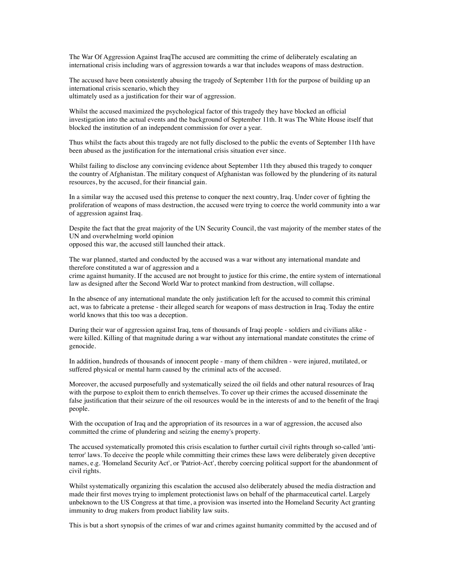The War Of Aggression Against IraqThe accused are committing the crime of deliberately escalating an international crisis including wars of aggression towards a war that includes weapons of mass destruction.

The accused have been consistently abusing the tragedy of September 11th for the purpose of building up an international crisis scenario, which they

ultimately used as a justification for their war of aggression.

Whilst the accused maximized the psychological factor of this tragedy they have blocked an official investigation into the actual events and the background of September 11th. It was The White House itself that blocked the institution of an independent commission for over a year.

Thus whilst the facts about this tragedy are not fully disclosed to the public the events of September 11th have been abused as the justification for the international crisis situation ever since.

Whilst failing to disclose any convincing evidence about September 11th they abused this tragedy to conquer the country of Afghanistan. The military conquest of Afghanistan was followed by the plundering of its natural resources, by the accused, for their financial gain.

In a similar way the accused used this pretense to conquer the next country, Iraq. Under cover of fighting the proliferation of weapons of mass destruction, the accused were trying to coerce the world community into a war of aggression against Iraq.

Despite the fact that the great majority of the UN Security Council, the vast majority of the member states of the UN and overwhelming world opinion

opposed this war, the accused still launched their attack.

The war planned, started and conducted by the accused was a war without any international mandate and therefore constituted a war of aggression and a

crime against humanity. If the accused are not brought to justice for this crime, the entire system of international law as designed after the Second World War to protect mankind from destruction, will collapse.

In the absence of any international mandate the only justification left for the accused to commit this criminal act, was to fabricate a pretense - their alleged search for weapons of mass destruction in Iraq. Today the entire world knows that this too was a deception.

During their war of aggression against Iraq, tens of thousands of Iraqi people - soldiers and civilians alike were killed. Killing of that magnitude during a war without any international mandate constitutes the crime of genocide.

In addition, hundreds of thousands of innocent people - many of them children - were injured, mutilated, or suffered physical or mental harm caused by the criminal acts of the accused.

Moreover, the accused purposefully and systematically seized the oil fields and other natural resources of Iraq with the purpose to exploit them to enrich themselves. To cover up their crimes the accused disseminate the false justification that their seizure of the oil resources would be in the interests of and to the benefit of the Iraqi people.

With the occupation of Iraq and the appropriation of its resources in a war of aggression, the accused also committed the crime of plundering and seizing the enemy's property.

The accused systematically promoted this crisis escalation to further curtail civil rights through so-called 'antiterror' laws. To deceive the people while committing their crimes these laws were deliberately given deceptive names, e.g. 'Homeland Security Act', or 'Patriot-Act', thereby coercing political support for the abandonment of civil rights.

Whilst systematically organizing this escalation the accused also deliberately abused the media distraction and made their first moves trying to implement protectionist laws on behalf of the pharmaceutical cartel. Largely unbeknown to the US Congress at that time, a provision was inserted into the Homeland Security Act granting immunity to drug makers from product liability law suits.

This is but a short synopsis of the crimes of war and crimes against humanity committed by the accused and of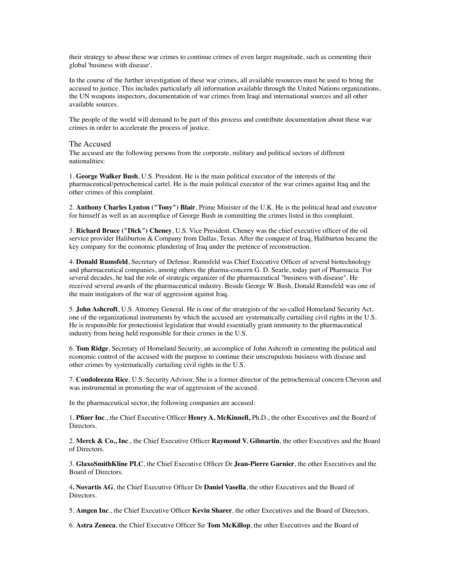their strategy to abuse these war crimes to continue crimes of even larger magnitude, such as cementing their global 'business with disease'.

In the course of the further investigation of these war crimes, all available resources must be used to bring the accused to justice. This includes particularly all information available through the United Nations organizations, the UN weapons inspectors, documentation of war crimes from Iraqi and international sources and all other available sources.

The people of the world will demand to be part of this process and contribute documentation about these war crimes in order to accelerate the process of justice.

#### The Accused

The accused are the following persons from the corporate, military and political sectors of different nationalities:

1. **George Walker Bush**, U.S. President. He is the main political executor of the interests of the pharmaceutical/petrochemical cartel. He is the main political executor of the war crimes against Iraq and the other crimes of this complaint.

2. **Anthony Charles Lynton ("Tony") Blair**, Prime Minister of the U.K. He is the political head and executor for himself as well as an accomplice of George Bush in committing the crimes listed in this complaint.

3. **Richard Bruce ("Dick") Cheney**, U.S. Vice President. Cheney was the chief executive officer of the oil service provider Haliburton & Company from Dallas, Texas. After the conquest of Iraq, Haliburton became the key company for the economic plundering of Iraq under the pretence of reconstruction.

4. **Donald Rumsfeld**, Secretary of Defense. Rumsfeld was Chief Executive Officer of several biotechnology and pharmaceutical companies, among others the pharma-concern G. D. Searle, today part of Pharmacia. For several decades, he had the role of strategic organizer of the pharmaceutical "business with disease". He received several awards of the pharmaceutical industry. Beside George W. Bush, Donald Rumsfeld was one of the main instigators of the war of aggression against Iraq.

5. **John Ashcroft**, U.S. Attorney General. He is one of the strategists of the so-called Homeland Security Act, one of the organizational instruments by which the accused are systematically curtailing civil rights in the U.S. He is responsible for protectionist legislation that would essentially grant immunity to the pharmaceutical industry from being held responsible for their crimes in the U.S.

6. **Tom Ridge**, Secretary of Homeland Security, an accomplice of John Ashcroft in cementing the political and economic control of the accused with the purpose to continue their unscrupulous business with disease and other crimes by systematically curtailing civil rights in the U.S.

7. **Condoleezza Rice**, U.S. Security Advisor. She is a former director of the petrochemical concern Chevron and was instrumental in promoting the war of aggression of the accused.

In the pharmaceutical sector, the following companies are accused:

1. **Pfizer Inc**., the Chief Executive Officer **Henry A. McKinnell,** Ph.D., the other Executives and the Board of Directors.

2. **Merck & Co., Inc**., the Chief Executive Officer **Raymond V. Gilmartin**, the other Executives and the Board of Directors.

3. **GlaxoSmithKline PLC**, the Chief Executive Officer Dr **Jean-Pierre Garnier**, the other Executives and the Board of Directors.

4**. Novartis AG**, the Chief Executive Officer Dr **Daniel Vasella**, the other Executives and the Board of Directors.

5. **Amgen Inc**., the Chief Executive Officer **Kevin Sharer**, the other Executives and the Board of Directors.

6. **Astra Zeneca**, the Chief Executive Officer Sir **Tom McKillop**, the other Executives and the Board of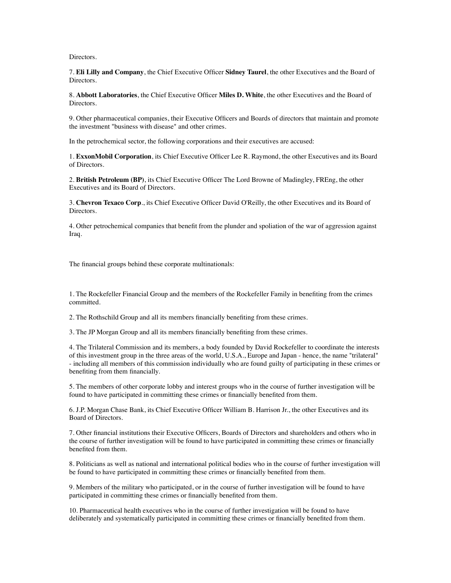Directors.

7. **Eli Lilly and Company**, the Chief Executive Officer **Sidney Taurel**, the other Executives and the Board of Directors.

8. **Abbott Laboratories**, the Chief Executive Officer **Miles D. White**, the other Executives and the Board of **Directors** 

9. Other pharmaceutical companies, their Executive Officers and Boards of directors that maintain and promote the investment "business with disease" and other crimes.

In the petrochemical sector, the following corporations and their executives are accused:

1. **ExxonMobil Corporation**, its Chief Executive Officer Lee R. Raymond, the other Executives and its Board of Directors.

2. **British Petroleum (BP)**, its Chief Executive Officer The Lord Browne of Madingley, FREng, the other Executives and its Board of Directors.

3. **Chevron Texaco Corp**., its Chief Executive Officer David O'Reilly, the other Executives and its Board of Directors.

4. Other petrochemical companies that benefit from the plunder and spoliation of the war of aggression against Iraq.

The financial groups behind these corporate multinationals:

1. The Rockefeller Financial Group and the members of the Rockefeller Family in benefiting from the crimes committed.

2. The Rothschild Group and all its members financially benefiting from these crimes.

3. The JP Morgan Group and all its members financially benefiting from these crimes.

4. The Trilateral Commission and its members, a body founded by David Rockefeller to coordinate the interests of this investment group in the three areas of the world, U.S.A., Europe and Japan - hence, the name "trilateral" - including all members of this commission individually who are found guilty of participating in these crimes or benefiting from them financially.

5. The members of other corporate lobby and interest groups who in the course of further investigation will be found to have participated in committing these crimes or financially benefited from them.

6. J.P. Morgan Chase Bank, its Chief Executive Officer William B. Harrison Jr., the other Executives and its Board of Directors.

7. Other financial institutions their Executive Officers, Boards of Directors and shareholders and others who in the course of further investigation will be found to have participated in committing these crimes or financially benefited from them.

8. Politicians as well as national and international political bodies who in the course of further investigation will be found to have participated in committing these crimes or financially benefited from them.

9. Members of the military who participated, or in the course of further investigation will be found to have participated in committing these crimes or financially benefited from them.

10. Pharmaceutical health executives who in the course of further investigation will be found to have deliberately and systematically participated in committing these crimes or financially benefited from them.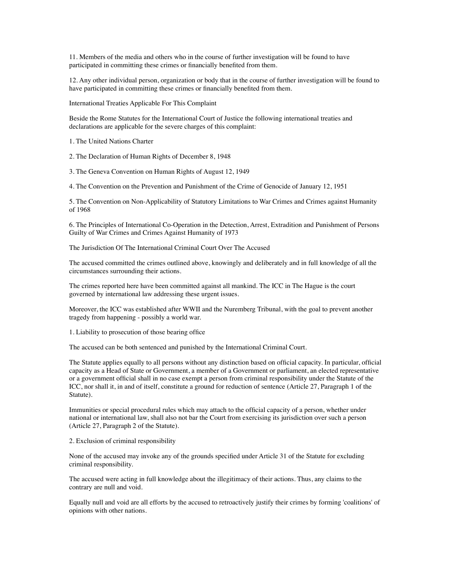11. Members of the media and others who in the course of further investigation will be found to have participated in committing these crimes or financially benefited from them.

12. Any other individual person, organization or body that in the course of further investigation will be found to have participated in committing these crimes or financially benefited from them.

International Treaties Applicable For This Complaint

Beside the Rome Statutes for the International Court of Justice the following international treaties and declarations are applicable for the severe charges of this complaint:

1. The United Nations Charter

2. The Declaration of Human Rights of December 8, 1948

3. The Geneva Convention on Human Rights of August 12, 1949

4. The Convention on the Prevention and Punishment of the Crime of Genocide of January 12, 1951

5. The Convention on Non-Applicability of Statutory Limitations to War Crimes and Crimes against Humanity of 1968

6. The Principles of International Co-Operation in the Detection, Arrest, Extradition and Punishment of Persons Guilty of War Crimes and Crimes Against Humanity of 1973

The Jurisdiction Of The International Criminal Court Over The Accused

The accused committed the crimes outlined above, knowingly and deliberately and in full knowledge of all the circumstances surrounding their actions.

The crimes reported here have been committed against all mankind. The ICC in The Hague is the court governed by international law addressing these urgent issues.

Moreover, the ICC was established after WWII and the Nuremberg Tribunal, with the goal to prevent another tragedy from happening - possibly a world war.

1. Liability to prosecution of those bearing office

The accused can be both sentenced and punished by the International Criminal Court.

The Statute applies equally to all persons without any distinction based on official capacity. In particular, official capacity as a Head of State or Government, a member of a Government or parliament, an elected representative or a government official shall in no case exempt a person from criminal responsibility under the Statute of the ICC, nor shall it, in and of itself, constitute a ground for reduction of sentence (Article 27, Paragraph 1 of the Statute).

Immunities or special procedural rules which may attach to the official capacity of a person, whether under national or international law, shall also not bar the Court from exercising its jurisdiction over such a person (Article 27, Paragraph 2 of the Statute).

2. Exclusion of criminal responsibility

None of the accused may invoke any of the grounds specified under Article 31 of the Statute for excluding criminal responsibility.

The accused were acting in full knowledge about the illegitimacy of their actions. Thus, any claims to the contrary are null and void.

Equally null and void are all efforts by the accused to retroactively justify their crimes by forming 'coalitions' of opinions with other nations.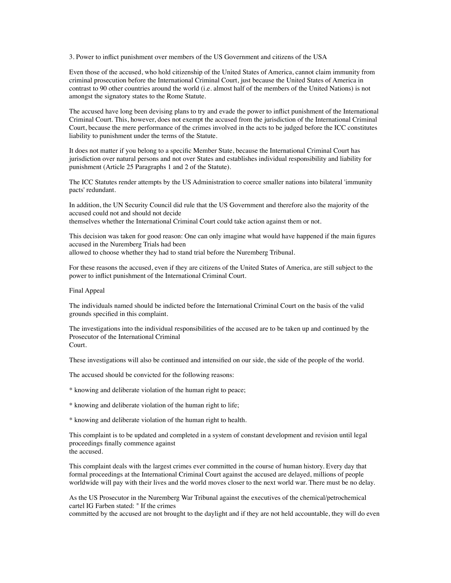3. Power to inflict punishment over members of the US Government and citizens of the USA

Even those of the accused, who hold citizenship of the United States of America, cannot claim immunity from criminal prosecution before the International Criminal Court, just because the United States of America in contrast to 90 other countries around the world (i.e. almost half of the members of the United Nations) is not amongst the signatory states to the Rome Statute.

The accused have long been devising plans to try and evade the power to inflict punishment of the International Criminal Court. This, however, does not exempt the accused from the jurisdiction of the International Criminal Court, because the mere performance of the crimes involved in the acts to be judged before the ICC constitutes liability to punishment under the terms of the Statute.

It does not matter if you belong to a specific Member State, because the International Criminal Court has jurisdiction over natural persons and not over States and establishes individual responsibility and liability for punishment (Article 25 Paragraphs 1 and 2 of the Statute).

The ICC Statutes render attempts by the US Administration to coerce smaller nations into bilateral 'immunity pacts' redundant.

In addition, the UN Security Council did rule that the US Government and therefore also the majority of the accused could not and should not decide themselves whether the International Criminal Court could take action against them or not.

This decision was taken for good reason: One can only imagine what would have happened if the main figures accused in the Nuremberg Trials had been

allowed to choose whether they had to stand trial before the Nuremberg Tribunal.

For these reasons the accused, even if they are citizens of the United States of America, are still subject to the power to inflict punishment of the International Criminal Court.

#### Final Appeal

The individuals named should be indicted before the International Criminal Court on the basis of the valid grounds specified in this complaint.

The investigations into the individual responsibilities of the accused are to be taken up and continued by the Prosecutor of the International Criminal Court.

These investigations will also be continued and intensified on our side, the side of the people of the world.

The accused should be convicted for the following reasons:

\* knowing and deliberate violation of the human right to peace;

\* knowing and deliberate violation of the human right to life;

\* knowing and deliberate violation of the human right to health.

This complaint is to be updated and completed in a system of constant development and revision until legal proceedings finally commence against the accused.

This complaint deals with the largest crimes ever committed in the course of human history. Every day that formal proceedings at the International Criminal Court against the accused are delayed, millions of people worldwide will pay with their lives and the world moves closer to the next world war. There must be no delay.

As the US Prosecutor in the Nuremberg War Tribunal against the executives of the chemical/petrochemical cartel IG Farben stated: " If the crimes

committed by the accused are not brought to the daylight and if they are not held accountable, they will do even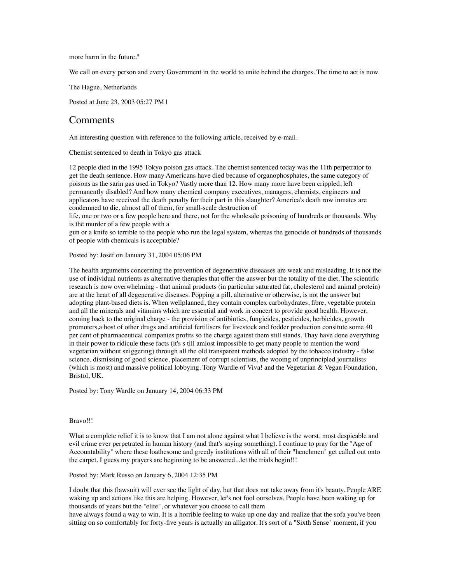more harm in the future."

We call on every person and every Government in the world to unite behind the charges. The time to act is now.

The Hague, Netherlands

Posted at June 23, 2003 05:27 PM |

## **Comments**

An interesting question with reference to the following article, received by e-mail.

Chemist sentenced to death in Tokyo gas attack

12 people died in the 1995 Tokyo poison gas attack. The chemist sentenced today was the 11th perpetrator to get the death sentence. How many Americans have died because of organophosphates, the same category of poisons as the sarin gas used in Tokyo? Vastly more than 12. How many more have been crippled, left permanently disabled? And how many chemical company executives, managers, chemists, engineers and applicators have received the death penalty for their part in this slaughter? America's death row inmates are condemned to die, almost all of them, for small-scale destruction of

life, one or two or a few people here and there, not for the wholesale poisoning of hundreds or thousands. Why is the murder of a few people with a

gun or a knife so terrible to the people who run the legal system, whereas the genocide of hundreds of thousands of people with chemicals is acceptable?

#### Posted by: Josef on January 31, 2004 05:06 PM

The health arguments concerning the prevention of degenerative diseaases are weak and misleading. It is not the use of individual nutrients as alternative therapies that offer the answer but the totality of the diet. The scientific research is now overwhelming - that animal products (in particular saturated fat, cholesterol and animal protein) are at the heart of all degenerative diseases. Popping a pill, alternative or otherwise, is not the answer but adopting plant-based diets is. When wellplanned, they contain complex carbohydrates, fibre, vegetable protein and all the minerals and vitamins which are essential and work in concert to provide good health. However, coming back to the original charge - the provision of antibiotics, fungicides, pesticides, herbicides, growth promoters,a host of other drugs and artificial fertilisers for livestock and fodder production consitute some 40 per cent of pharmaceutical companies profits so the charge against them still stands. Thay have done everything in their power to ridicule these facts (it's s till amlost impossible to get many people to mention the word vegetarian without sniggering) through all the old transparent methods adopted by the tobacco industry - false science, dismissing of good science, placement of corrupt scientists, the wooing of unprincipled journalists (which is most) and massive political lobbying. Tony Wardle of Viva! and the Vegetarian & Vegan Foundation, Bristol, UK.

Posted by: Tony Wardle on January 14, 2004 06:33 PM

#### Bravo!!!

What a complete relief it is to know that I am not alone against what I believe is the worst, most despicable and evil crime ever perpetrated in human history (and that's saying something). I continue to pray for the "Age of Accountability" where these loathesome and greedy institutions with all of their "henchmen" get called out onto the carpet. I guess my prayers are beginning to be answered...let the trials begin!!!

#### Posted by: Mark Russo on January 6, 2004 12:35 PM

I doubt that this (lawsuit) will ever see the light of day, but that does not take away from it's beauty. People ARE waking up and actions like this are helping. However, let's not fool ourselves. People have been waking up for thousands of years but the "elite", or whatever you choose to call them

have always found a way to win. It is a horrible feeling to wake up one day and realize that the sofa you've been sitting on so comfortably for forty-five years is actually an alligator. It's sort of a "Sixth Sense" moment, if you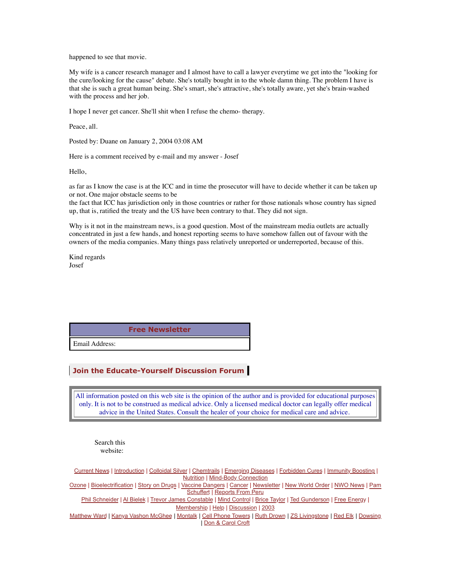happened to see that movie.

My wife is a cancer research manager and I almost have to call a lawyer everytime we get into the "looking for the cure/looking for the cause" debate. She's totally bought in to the whole damn thing. The problem I have is that she is such a great human being. She's smart, she's attractive, she's totally aware, yet she's brain-washed with the process and her job.

I hope I never get cancer. She'll shit when I refuse the chemo- therapy.

Peace, all.

Posted by: Duane on January 2, 2004 03:08 AM

Here is a comment received by e-mail and my answer - Josef

Hello,

as far as I know the case is at the ICC and in time the prosecutor will have to decide whether it can be taken up or not. One major obstacle seems to be

the fact that ICC has jurisdiction only in those countries or rather for those nationals whose country has signed up, that is, ratified the treaty and the US have been contrary to that. They did not sign.

Why is it not in the mainstream news, is a good question. Most of the mainstream media outlets are actually concentrated in just a few hands, and honest reporting seems to have somehow fallen out of favour with the owners of the media companies. Many things pass relatively unreported or underreported, because of this.

Kind regards Josef

**[Free Newsletter](http://educate-yourself.org/newsletter/)**

Email Address:

#### **[Join the Educate-Yourself Discussion Forum](http://groups.yahoo.com/group/Educate-Yourself_Forum/)**

All information posted on this web site is the opinion of the author and is provided for educational purposes only. It is not to be construed as medical advice. Only a licensed medical doctor can legally offer medical advice in the United States. Consult the healer of your choice for medical care and advice.

Search this website:

[Current News](http://educate-yourself.org/cn/) | [Introduction](http://educate-yourself.org/intro.shtml) | [Colloidal Silver](http://educate-yourself.org/cs/) | [Chemtrails](http://educate-yourself.org/ct/) | [Emerging Diseases](http://educate-yourself.org/ed/) | [Forbidden Cures](http://educate-yourself.org/fc/) | [Immunity Boosting](http://educate-yourself.org/immunboosting/) | [Nutrition](http://educate-yourself.org/nutrition/) | [Mind-Body Connection](http://educate-yourself.org/mbc/) [Ozone](http://educate-yourself.org/ozone/) | [Bioelectrification](http://educate-yourself.org/be/) | [Story on Drugs](http://educate-yourself.org/fc/drugstory.shtml) | [Vaccine Dangers](http://educate-yourself.org/vcd/) | [Cancer](http://educate-yourself.org/cancer/) | [Newsletter](http://educate-yourself.org/newsletter/) | [New World Order](http://educate-yourself.org/nwo/) | [NWO News](http://educate-yourself.org/nwo/nwonewsindex.shtml) | [Pam](http://educate-yourself.org/ps/)  [Schuffert](http://educate-yourself.org/ps/) | [Reports From Peru](http://educate-yourself.org/rfp/) [Phil Schneider](http://educate-yourself.org/products/pslastlecturedescrip.shtml) | [Al Bielek](http://educate-yourself.org/ab/) | [Trevor James Constable](http://educate-yourself.org/tjc/) | [Mind Control](http://educate-yourself.org/mc/) | [Brice Taylor](http://educate-yourself.org/mc/) | [Ted Gunderson](http://educate-yourself.org/tg/) | [Free Energy](http://educate-yourself.org/fe/) | [Membership](http://educate-yourself.org/membership.shtml) | [Help](http://educate-yourself.org/help.shtml) | [Discussion](http://groups.yahoo.com/group/Educate-Yourself_Forum/) | [2003](http://educate-yourself.org/2003/) [Matthew Ward](http://educate-yourself.org/mw/index.shtml) | [Kanya Vashon McGhee](http://educate-yourself.org/kvm/index.shtml) | [Montalk](http://educate-yourself.org/mnt/index.shtml) | [Cell Phone Towers](http://educate-yourself.org/dc/dclatestonmctowerarrays25may02.shtml) | [Ruth Drown](http://educate-yourself.org/tjc/ruthdrownuntoldstory.shtml) | [ZS Livingstone](http://educate-yourself.org/zsl/index.shtml) | [Red Elk](http://educate-yourself.org/re/index.shtml) | [Dowsing](http://educate-yourself.org/dow/index.shtml) | [Don & Carol Croft](http://educate-yourself.org/dc/)